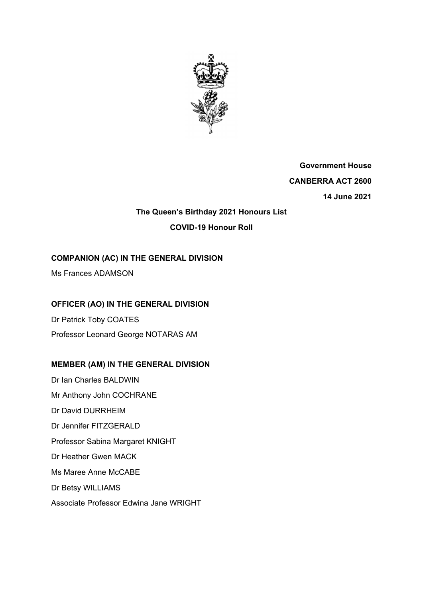

**Government House CANBERRA ACT 2600 14 June 2021** 

# **The Queen's Birthday 2021 Honours List COVID-19 Honour Roll**

## **COMPANION (AC) IN THE GENERAL DIVISION**

Ms Frances ADAMSON

## **OFFICER (AO) IN THE GENERAL DIVISION**

Dr Patrick Toby COATES Professor Leonard George NOTARAS AM

# **MEMBER (AM) IN THE GENERAL DIVISION**

Dr Ian Charles BALDWIN Mr Anthony John COCHRANE Dr David DURRHEIM Dr Jennifer FITZGERALD Professor Sabina Margaret KNIGHT Dr Heather Gwen MACK Ms Maree Anne McCABE Dr Betsy WILLIAMS Associate Professor Edwina Jane WRIGHT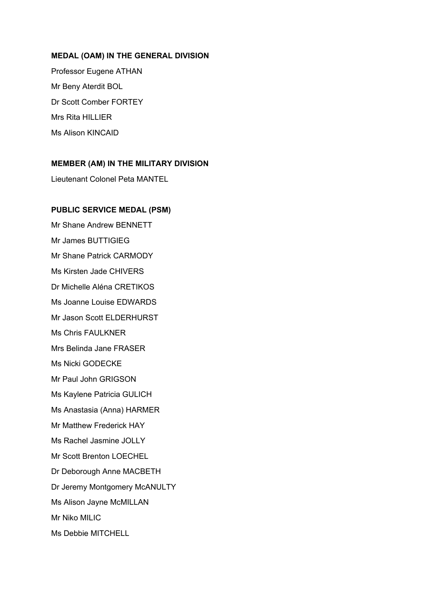#### **MEDAL (OAM) IN THE GENERAL DIVISION**

Professor Eugene ATHAN Mr Beny Aterdit BOL Dr Scott Comber FORTEY Mrs Rita HILLIER Ms Alison KINCAID

#### **MEMBER (AM) IN THE MILITARY DIVISION**

Lieutenant Colonel Peta MANTEL

#### **PUBLIC SERVICE MEDAL (PSM)**

Mr Shane Andrew BENNETT Mr James BUTTIGIEG Mr Shane Patrick CARMODY Ms Kirsten Jade CHIVERS Dr Michelle Aléna CRETIKOS Ms Joanne Louise EDWARDS Mr Jason Scott ELDERHURST Ms Chris FAULKNER Mrs Belinda Jane FRASER Ms Nicki GODECKE Mr Paul John GRIGSON Ms Kaylene Patricia GULICH Ms Anastasia (Anna) HARMER Mr Matthew Frederick HAY Ms Rachel Jasmine JOLLY Mr Scott Brenton LOECHEL Dr Deborough Anne MACBETH Dr Jeremy Montgomery McANULTY Ms Alison Jayne McMILLAN Mr Niko MILIC Ms Debbie MITCHELL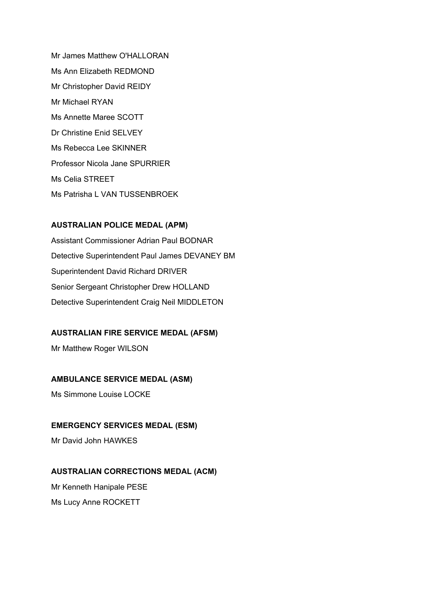Mr James Matthew O'HALLORAN Ms Ann Elizabeth REDMOND Mr Christopher David REIDY Mr Michael RYAN Ms Annette Maree SCOTT Dr Christine Enid SELVEY Ms Rebecca Lee SKINNER Professor Nicola Jane SPURRIER Ms Celia STREET Ms Patrisha L VAN TUSSENBROEK

### **AUSTRALIAN POLICE MEDAL (APM)**

Assistant Commissioner Adrian Paul BODNAR Detective Superintendent Paul James DEVANEY BM Superintendent David Richard DRIVER Senior Sergeant Christopher Drew HOLLAND Detective Superintendent Craig Neil MIDDLETON

## **AUSTRALIAN FIRE SERVICE MEDAL (AFSM)**

Mr Matthew Roger WILSON

### **AMBULANCE SERVICE MEDAL (ASM)**

Ms Simmone Louise LOCKE

#### **EMERGENCY SERVICES MEDAL (ESM)**

Mr David John HAWKES

## **AUSTRALIAN CORRECTIONS MEDAL (ACM)**

Mr Kenneth Hanipale PESE Ms Lucy Anne ROCKETT